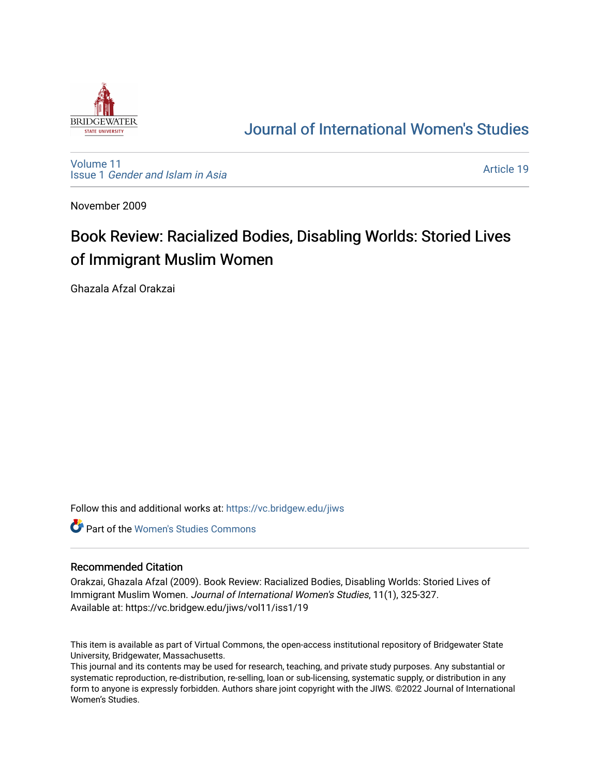

# [Journal of International Women's Studies](https://vc.bridgew.edu/jiws)

[Volume 11](https://vc.bridgew.edu/jiws/vol11) Issue 1 [Gender and Islam in Asia](https://vc.bridgew.edu/jiws/vol11/iss1)

[Article 19](https://vc.bridgew.edu/jiws/vol11/iss1/19) 

November 2009

# Book Review: Racialized Bodies, Disabling Worlds: Storied Lives of Immigrant Muslim Women

Ghazala Afzal Orakzai

Follow this and additional works at: [https://vc.bridgew.edu/jiws](https://vc.bridgew.edu/jiws?utm_source=vc.bridgew.edu%2Fjiws%2Fvol11%2Fiss1%2F19&utm_medium=PDF&utm_campaign=PDFCoverPages)

**C** Part of the Women's Studies Commons

#### Recommended Citation

Orakzai, Ghazala Afzal (2009). Book Review: Racialized Bodies, Disabling Worlds: Storied Lives of Immigrant Muslim Women. Journal of International Women's Studies, 11(1), 325-327. Available at: https://vc.bridgew.edu/jiws/vol11/iss1/19

This item is available as part of Virtual Commons, the open-access institutional repository of Bridgewater State University, Bridgewater, Massachusetts.

This journal and its contents may be used for research, teaching, and private study purposes. Any substantial or systematic reproduction, re-distribution, re-selling, loan or sub-licensing, systematic supply, or distribution in any form to anyone is expressly forbidden. Authors share joint copyright with the JIWS. ©2022 Journal of International Women's Studies.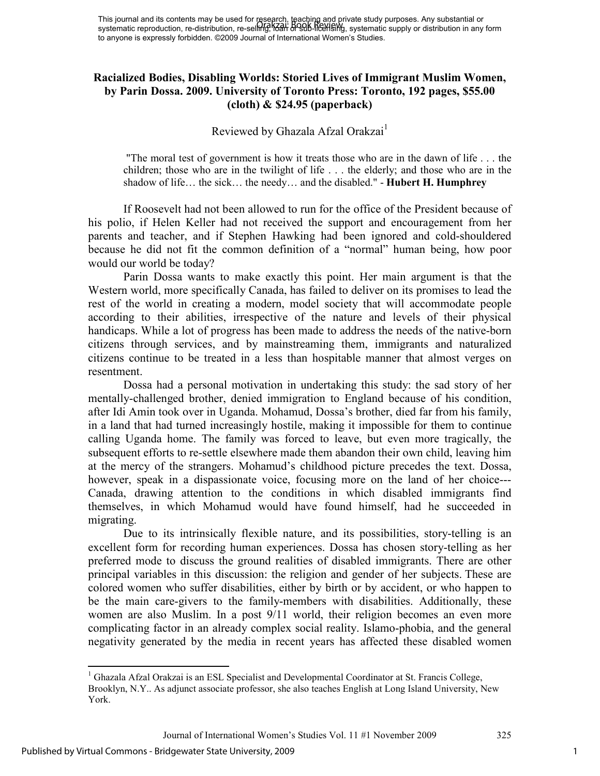## **Racialized Bodies, Disabling Worlds: Storied Lives of Immigrant Muslim Women, by Parin Dossa. 2009. University of Toronto Press: Toronto, 192 pages, \$55.00 (cloth) & \$24.95 (paperback)**

### Reviewed by Ghazala Afzal Orakzai $<sup>1</sup>$ </sup>

 "The moral test of government is how it treats those who are in the dawn of life . . . the children; those who are in the twilight of life . . . the elderly; and those who are in the shadow of life… the sick… the needy… and the disabled." - **Hubert H. Humphrey** 

 If Roosevelt had not been allowed to run for the office of the President because of his polio, if Helen Keller had not received the support and encouragement from her parents and teacher, and if Stephen Hawking had been ignored and cold-shouldered because he did not fit the common definition of a "normal" human being, how poor would our world be today?

Parin Dossa wants to make exactly this point. Her main argument is that the Western world, more specifically Canada, has failed to deliver on its promises to lead the rest of the world in creating a modern, model society that will accommodate people according to their abilities, irrespective of the nature and levels of their physical handicaps. While a lot of progress has been made to address the needs of the native-born citizens through services, and by mainstreaming them, immigrants and naturalized citizens continue to be treated in a less than hospitable manner that almost verges on resentment.

Dossa had a personal motivation in undertaking this study: the sad story of her mentally-challenged brother, denied immigration to England because of his condition, after Idi Amin took over in Uganda. Mohamud, Dossa's brother, died far from his family, in a land that had turned increasingly hostile, making it impossible for them to continue calling Uganda home. The family was forced to leave, but even more tragically, the subsequent efforts to re-settle elsewhere made them abandon their own child, leaving him at the mercy of the strangers. Mohamud's childhood picture precedes the text. Dossa, however, speak in a dispassionate voice, focusing more on the land of her choice--- Canada, drawing attention to the conditions in which disabled immigrants find themselves, in which Mohamud would have found himself, had he succeeded in migrating.

Due to its intrinsically flexible nature, and its possibilities, story-telling is an excellent form for recording human experiences. Dossa has chosen story-telling as her preferred mode to discuss the ground realities of disabled immigrants. There are other principal variables in this discussion: the religion and gender of her subjects. These are colored women who suffer disabilities, either by birth or by accident, or who happen to be the main care-givers to the family-members with disabilities. Additionally, these women are also Muslim. In a post 9/11 world, their religion becomes an even more complicating factor in an already complex social reality. Islamo-phobia, and the general negativity generated by the media in recent years has affected these disabled women

l

<sup>&</sup>lt;sup>1</sup> Ghazala Afzal Orakzai is an ESL Specialist and Developmental Coordinator at St. Francis College, Brooklyn, N.Y.. As adjunct associate professor, she also teaches English at Long Island University, New York.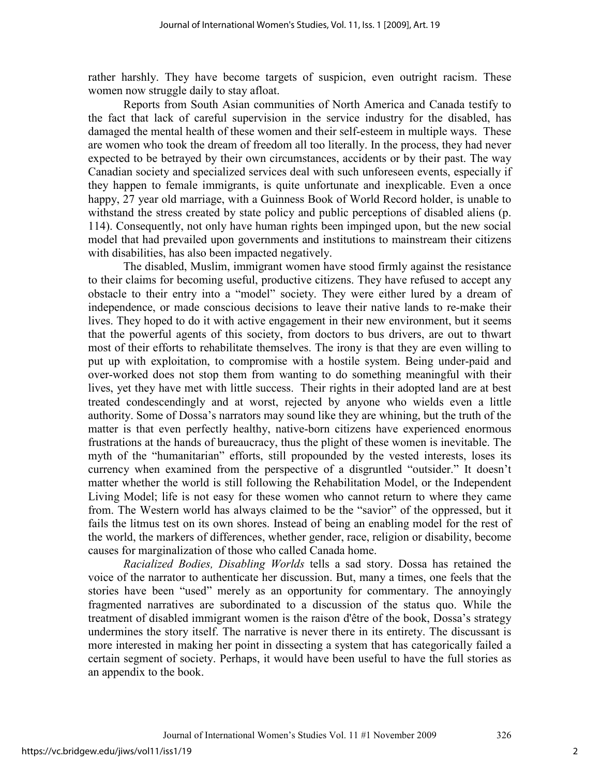rather harshly. They have become targets of suspicion, even outright racism. These women now struggle daily to stay afloat.

Reports from South Asian communities of North America and Canada testify to the fact that lack of careful supervision in the service industry for the disabled, has damaged the mental health of these women and their self-esteem in multiple ways. These are women who took the dream of freedom all too literally. In the process, they had never expected to be betrayed by their own circumstances, accidents or by their past. The way Canadian society and specialized services deal with such unforeseen events, especially if they happen to female immigrants, is quite unfortunate and inexplicable. Even a once happy, 27 year old marriage, with a Guinness Book of World Record holder, is unable to withstand the stress created by state policy and public perceptions of disabled aliens (p. 114). Consequently, not only have human rights been impinged upon, but the new social model that had prevailed upon governments and institutions to mainstream their citizens with disabilities, has also been impacted negatively.

The disabled, Muslim, immigrant women have stood firmly against the resistance to their claims for becoming useful, productive citizens. They have refused to accept any obstacle to their entry into a "model" society. They were either lured by a dream of independence, or made conscious decisions to leave their native lands to re-make their lives. They hoped to do it with active engagement in their new environment, but it seems that the powerful agents of this society, from doctors to bus drivers, are out to thwart most of their efforts to rehabilitate themselves. The irony is that they are even willing to put up with exploitation, to compromise with a hostile system. Being under-paid and over-worked does not stop them from wanting to do something meaningful with their lives, yet they have met with little success. Their rights in their adopted land are at best treated condescendingly and at worst, rejected by anyone who wields even a little authority. Some of Dossa's narrators may sound like they are whining, but the truth of the matter is that even perfectly healthy, native-born citizens have experienced enormous frustrations at the hands of bureaucracy, thus the plight of these women is inevitable. The myth of the "humanitarian" efforts, still propounded by the vested interests, loses its currency when examined from the perspective of a disgruntled "outsider." It doesn't matter whether the world is still following the Rehabilitation Model, or the Independent Living Model; life is not easy for these women who cannot return to where they came from. The Western world has always claimed to be the "savior" of the oppressed, but it fails the litmus test on its own shores. Instead of being an enabling model for the rest of the world, the markers of differences, whether gender, race, religion or disability, become causes for marginalization of those who called Canada home.

*Racialized Bodies, Disabling Worlds* tells a sad story. Dossa has retained the voice of the narrator to authenticate her discussion. But, many a times, one feels that the stories have been "used" merely as an opportunity for commentary. The annoyingly fragmented narratives are subordinated to a discussion of the status quo. While the treatment of disabled immigrant women is the raison d'être of the book, Dossa's strategy undermines the story itself. The narrative is never there in its entirety. The discussant is more interested in making her point in dissecting a system that has categorically failed a certain segment of society. Perhaps, it would have been useful to have the full stories as an appendix to the book.